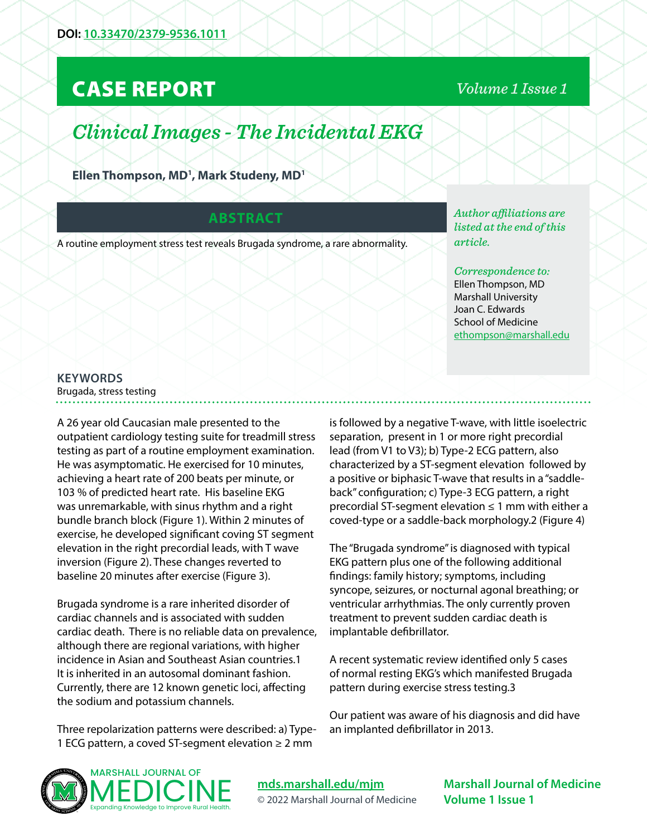## CASE REPORT

## *Volume 1 Issue 1*

# *Clinical Images - The Incidental EKG*

**Ellen Thompson, MD1 , Mark Studeny, MD1**

#### **ABSTRACT**

A routine employment stress test reveals Brugada syndrome, a rare abnormality.

*Author affiliations are listed at the end of this article.* 

*Correspondence to:*  Ellen Thompson, MD Marshall University Joan C. Edwards School of Medicine [ethompson@marshall.edu](mailto:ethompson%40marshall.edu?subject=)

### **KEYWORDS**

Brugada, stress testing

A 26 year old Caucasian male presented to the outpatient cardiology testing suite for treadmill stress testing as part of a routine employment examination. He was asymptomatic. He exercised for 10 minutes, achieving a heart rate of 200 beats per minute, or 103 % of predicted heart rate. His baseline EKG was unremarkable, with sinus rhythm and a right bundle branch block (Figure 1). Within 2 minutes of exercise, he developed significant coving ST segment elevation in the right precordial leads, with T wave inversion (Figure 2). These changes reverted to baseline 20 minutes after exercise (Figure 3).

Brugada syndrome is a rare inherited disorder of cardiac channels and is associated with sudden cardiac death. There is no reliable data on prevalence, although there are regional variations, with higher incidence in Asian and Southeast Asian countries.1 It is inherited in an autosomal dominant fashion. Currently, there are 12 known genetic loci, affecting the sodium and potassium channels.

Three repolarization patterns were described: a) Type-1 ECG pattern, a coved ST-segment elevation ≥ 2 mm

is followed by a negative T-wave, with little isoelectric separation, present in 1 or more right precordial lead (from V1 to V3); b) Type-2 ECG pattern, also characterized by a ST-segment elevation followed by a positive or biphasic T-wave that results in a "saddleback" configuration; c) Type-3 ECG pattern, a right precordial ST-segment elevation ≤ 1 mm with either a coved-type or a saddle-back morphology.2 (Figure 4)

The "Brugada syndrome" is diagnosed with typical EKG pattern plus one of the following additional findings: family history; symptoms, including syncope, seizures, or nocturnal agonal breathing; or ventricular arrhythmias. The only currently proven treatment to prevent sudden cardiac death is implantable defibrillator.

A recent systematic review identified only 5 cases of normal resting EKG's which manifested Brugada pattern during exercise stress testing.3

Our patient was aware of his diagnosis and did have an implanted defibrillator in 2013.



**[mds.marshall.edu/mjm](https://mds.marshall.edu/mjm/)** © 2022 Marshall Journal of Medicine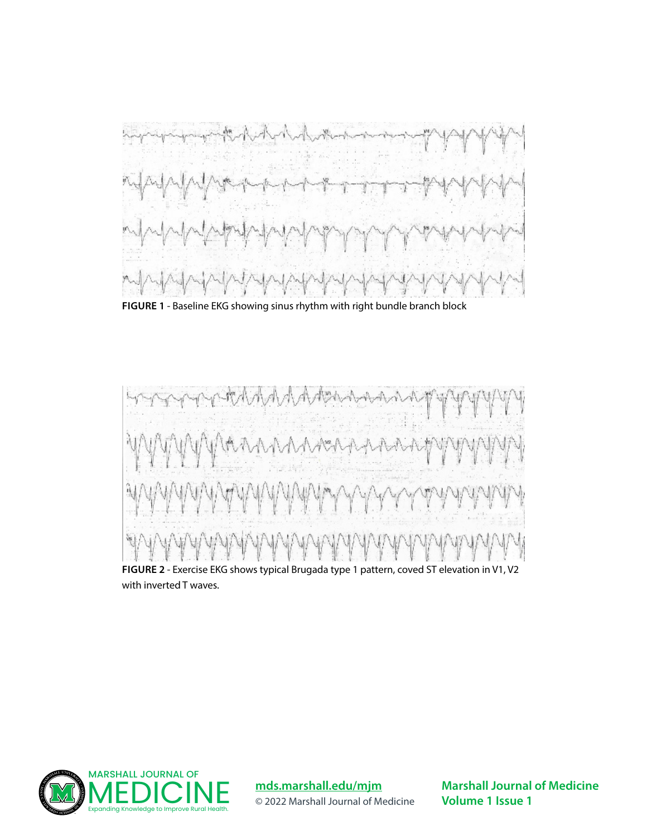

**FIGURE 1** - Baseline EKG showing sinus rhythm with right bundle branch block



**FIGURE 2** - Exercise EKG shows typical Brugada type 1 pattern, coved ST elevation in V1, V2 with inverted T waves.



**[mds.marshall.edu/mjm](https://mds.marshall.edu/mjm/)** © 2022 Marshall Journal of Medicine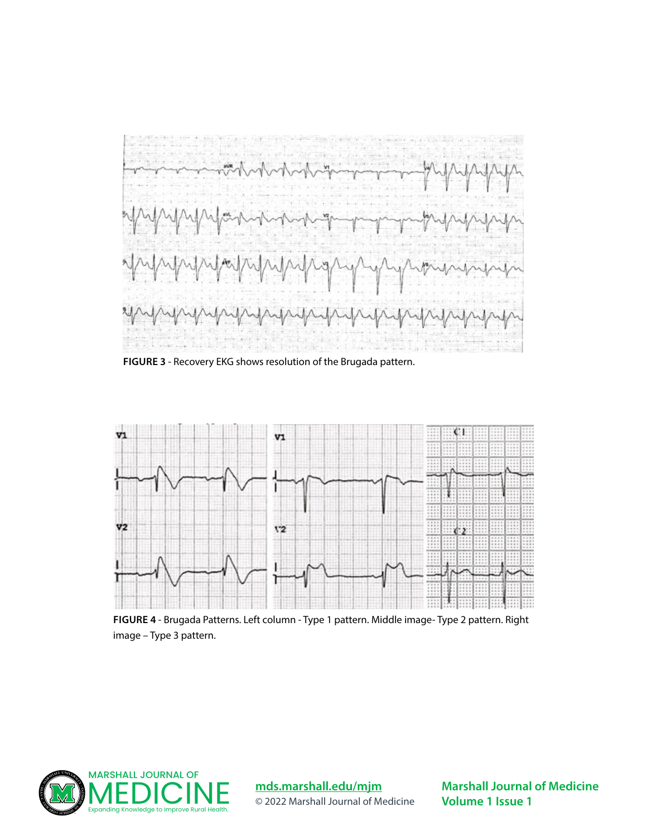

**FIGURE 3** - Recovery EKG shows resolution of the Brugada pattern.



**FIGURE 4** - Brugada Patterns. Left column - Type 1 pattern. Middle image- Type 2 pattern. Right image – Type 3 pattern.



**[mds.marshall.edu/mjm](https://mds.marshall.edu/mjm/)** © 2022 Marshall Journal of Medicine